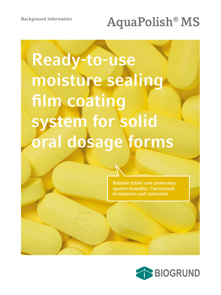# **Background Information AquaPolish® MS**

**Ready-to-use moisture sealing film coating system for solid oral dosage forms**

> **Reliable tablet core protection against humidity. Customized formulation and coloration.**

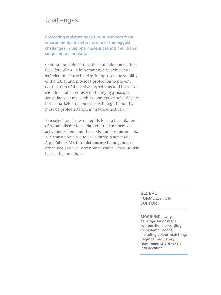## **Challenges**

**Protecting moisture sensitive substances from environmental moisture is one of the biggest challenges in the pharmaceutical and nutritional supplements industry.**

Coating the tablet core with a suitable film coating therefore plays an important role in achieving a sufficient moisture barrier. It improves the stability of the tablet and provides protection to prevent degradation of the active ingredients and increases shelf life. Tablet cores with highly hygroscopic active ingredients, such as extracts, or solid dosage forms marketed in countries with high humidity, must be protected from moisture effectively.

The selection of raw materials for the formulation of AquaPolish® MS is adapted to the respective active ingredient and the customer's requirements. The transparent, white or coloured tailor-made AquaPolish® MS formulations are homogeneous dry milled and easily soluble in water. Ready-to-use in less than one hour.

> **GLOBAL FORMULATION SUPPORT**

**BIOGRUND always develops tailor-made compositions according to customer needs, including colour matching. Regional regulatory requirements are taken into account.**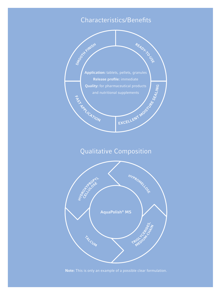## Characteristics/Benefits



**Note:** This is only an example of a possible clear formulation.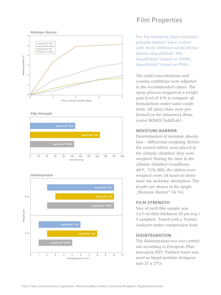







# Film Properties

**For the following data collection placebo tablets\* were coated with three different white formulations (AquaPolish® MS, AquaPolish® based on HPMC, AquaPolish® based on PVA).**

The solid concentrations and coating conditions were adjusted to the recommended values. The spray process stopped at a weight gain level of 4 % to compare all formulations under same conditions. All spray trials were performed on the laboratory drum coater BOSCH SolidLab1.

## **MOISTURE BARRIER**

Determination of moisture absorption – differential weighing: Before the coated tablets were placed in the climatic chamber, they were weighed. During the time in the climatic chamber (conditions: 40°C, 75% RH), the tablets were weighed every 24 hours to determine the moisture absorption. The results are shown in the graph "Moisture Barrier" (in %).

## **FILM STRENGTH**

Size of each film sample was 3x3 cm (film thickness 22 μm avg. / 3 samples). Tested with a Texture Analyzer under compression load.

## **DISINTEGRATION**

The disintegration test was carried out according to European Pharmacopeia (EP). Purified water was used as liquid medium (temperature  $37 \pm 2$ °C).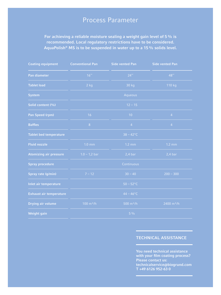## Process Parameter

**For achieving a reliable moisture sealing a weight gain level of 5 % is recommended. Local regulatory restrictions have to be considered. AquaPolish® MS is to be suspended in water up to a 15 % solids level.**

| <b>Coating equipment</b>       | <b>Conventional Pan</b> | <b>Side vented Pan</b> | <b>Side vented Pan</b> |
|--------------------------------|-------------------------|------------------------|------------------------|
| Pan diameter                   | $16^{\prime\prime}$     | $24^{\prime\prime}$    | 48''                   |
| <b>Tablet load</b>             | $2$ kg                  | 30 kg                  | 110 kg                 |
| <b>System</b>                  |                         | Aqueous                |                        |
| Solid content (%)              |                         | $12 - 15$              |                        |
| Pan Speed (rpm)                | 16                      | 10                     | $\overline{4}$         |
| <b>Baffles</b>                 | $\overline{8}$          | $\overline{4}$         | $\overline{4}$         |
| Tablet bed temperature         |                         | $38 - 42^{\circ}C$     |                        |
| <b>Fluid nozzle</b>            | $1.0 \text{ mm}$        | $1.2 \text{ mm}$       | $1.2 \text{ mm}$       |
| <b>Atomizing air pressure</b>  | $1.0 - 1.2$ bar         | $2,4$ bar              | $2,4$ bar              |
| <b>Spray procedure</b>         |                         | Continuous             |                        |
| Spray rate (g/min)             | $7 - 12$                | $30 - 40$              | $200 - 300$            |
| Inlet air temperature          |                         | $50 - 52^{\circ}$ C    |                        |
| <b>Exhaust air temperature</b> |                         | $44 - 46^{\circ}$ C    |                        |
| <b>Drying air volume</b>       | $100 \text{ m}^3/h$     | 500 $m^3/h$            | 2400 m <sup>3</sup> /h |
| <b>Weight gain</b>             |                         | $5\%$                  |                        |

## **TECHNICAL ASSISTANCE**

**You need technical assistance with your film coating process? Please contact us: technicalservice@biogrund.com T +49 6126 952-63 0**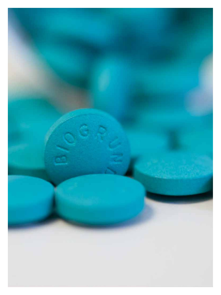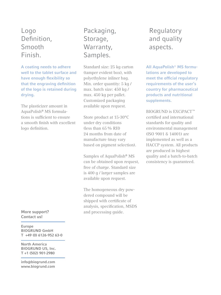# Logo Definition, Smooth Finish.

**A coating needs to adhere well to the tablet surface and have enough flexibility so that the engraving definition of the logo is retained during drying.** 

The plasticizer amount in AquaPolish® MS formulations is sufficient to ensure a smooth finish with excellent logo definition.

**More support? Contact us!**

**Europe BIOGRUND GmbH T +49 (0) 6126-952 63-0**

**North America BIOGRUND US, Inc. T +1 (502) 901-2980**

**info@biogrund.com www.biogrund.com**

# Packaging, Storage, Warranty, Samples.

Standard size: 25 kg carton (tamper evident box), with polyethylene inliner bag. Min. order quantity: 5 kg / max. batch size: 450 kg / max. 450 kg per pallet. Customized packaging available upon request.

Store product at 15-30°C under dry conditions  $(\text{less than } 65\% \text{ RH})$ 24 months from date of manufacture (may vary based on pigment selection).

Samples of AquaPolish® MS can be obtained upon request, free of charge. Standard size is 400 g / larger samples are available upon request.

The homogeneous dry powdered compound will be shipped with certificate of analysis, specification, MSDS and processing guide.

Regulatory and quality aspects.

**All AquaPolish® MS formulations are developed to meet the official regulatory requirements of the user's country for pharmaceutical products and nutritional supplements.**

BIOGRUND is EXCiPACT™ certified and international standards for quality and environmental management (ISO 9001 & 14001) are implemented as well as a HACCP system. All products are produced in highest quality and a batch-to-batch consistency is guaranteed.